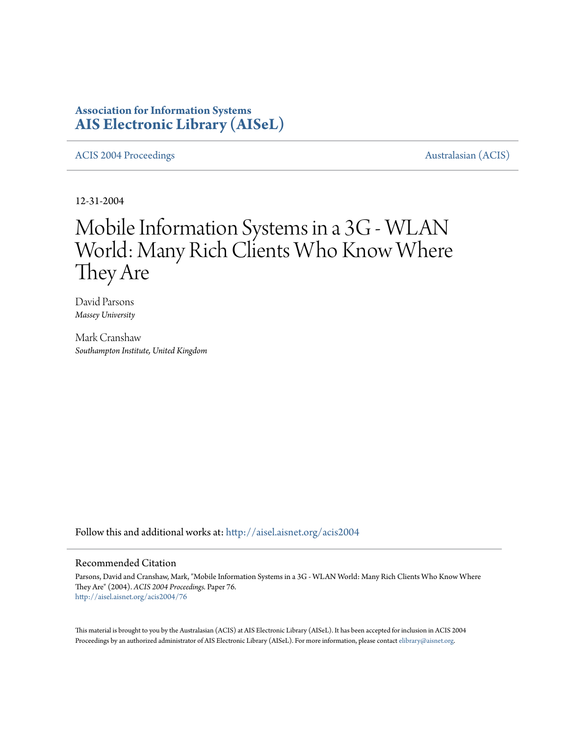## **Association for Information Systems [AIS Electronic Library \(AISeL\)](http://aisel.aisnet.org?utm_source=aisel.aisnet.org%2Facis2004%2F76&utm_medium=PDF&utm_campaign=PDFCoverPages)**

## [ACIS 2004 Proceedings](http://aisel.aisnet.org/acis2004?utm_source=aisel.aisnet.org%2Facis2004%2F76&utm_medium=PDF&utm_campaign=PDFCoverPages) **Australasian** (ACIS)

12-31-2004

# Mobile Information Systems in a 3G - WLAN World: Many Rich Clients Who Know Where They Are

David Parsons *Massey University*

Mark Cranshaw *Southampton Institute, United Kingdom*

Follow this and additional works at: [http://aisel.aisnet.org/acis2004](http://aisel.aisnet.org/acis2004?utm_source=aisel.aisnet.org%2Facis2004%2F76&utm_medium=PDF&utm_campaign=PDFCoverPages)

### Recommended Citation

Parsons, David and Cranshaw, Mark, "Mobile Information Systems in a 3G - WLAN World: Many Rich Clients Who Know Where They Are" (2004). *ACIS 2004 Proceedings.* Paper 76. [http://aisel.aisnet.org/acis2004/76](http://aisel.aisnet.org/acis2004/76?utm_source=aisel.aisnet.org%2Facis2004%2F76&utm_medium=PDF&utm_campaign=PDFCoverPages)

This material is brought to you by the Australasian (ACIS) at AIS Electronic Library (AISeL). It has been accepted for inclusion in ACIS 2004 Proceedings by an authorized administrator of AIS Electronic Library (AISeL). For more information, please contact [elibrary@aisnet.org](mailto:elibrary@aisnet.org>).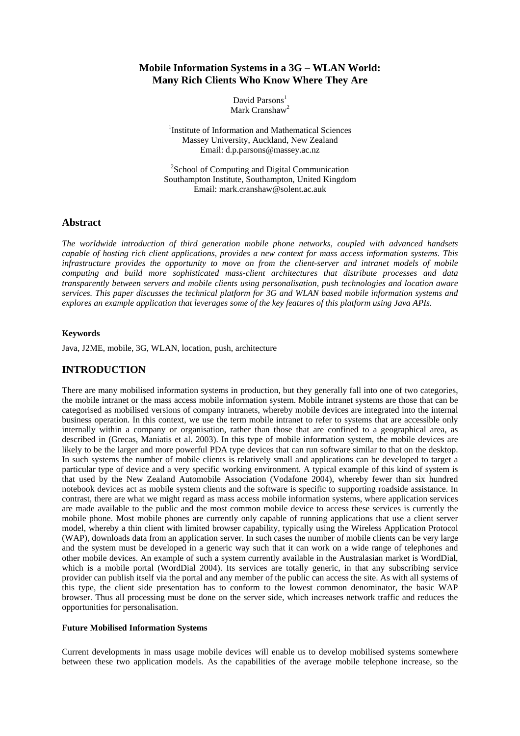## **Mobile Information Systems in a 3G – WLAN World: Many Rich Clients Who Know Where They Are**

David Parsons<sup>1</sup> Mark Cranshaw<sup>2</sup>

<sup>1</sup>Institute of Information and Mathematical Sciences Massey University, Auckland, New Zealand Email: d.p.parsons@massey.ac.nz

<sup>2</sup>School of Computing and Digital Communication Southampton Institute, Southampton, United Kingdom Email: mark.cranshaw@solent.ac.auk

## **Abstract**

*The worldwide introduction of third generation mobile phone networks, coupled with advanced handsets capable of hosting rich client applications, provides a new context for mass access information systems. This infrastructure provides the opportunity to move on from the client-server and intranet models of mobile computing and build more sophisticated mass-client architectures that distribute processes and data transparently between servers and mobile clients using personalisation, push technologies and location aware services. This paper discusses the technical platform for 3G and WLAN based mobile information systems and explores an example application that leverages some of the key features of this platform using Java APIs.* 

#### **Keywords**

Java, J2ME, mobile, 3G, WLAN, location, push, architecture

## **INTRODUCTION**

There are many mobilised information systems in production, but they generally fall into one of two categories, the mobile intranet or the mass access mobile information system. Mobile intranet systems are those that can be categorised as mobilised versions of company intranets, whereby mobile devices are integrated into the internal business operation. In this context, we use the term mobile intranet to refer to systems that are accessible only internally within a company or organisation, rather than those that are confined to a geographical area, as described in (Grecas, Maniatis et al. 2003). In this type of mobile information system, the mobile devices are likely to be the larger and more powerful PDA type devices that can run software similar to that on the desktop. In such systems the number of mobile clients is relatively small and applications can be developed to target a particular type of device and a very specific working environment. A typical example of this kind of system is that used by the New Zealand Automobile Association (Vodafone 2004), whereby fewer than six hundred notebook devices act as mobile system clients and the software is specific to supporting roadside assistance. In contrast, there are what we might regard as mass access mobile information systems, where application services are made available to the public and the most common mobile device to access these services is currently the mobile phone. Most mobile phones are currently only capable of running applications that use a client server model, whereby a thin client with limited browser capability, typically using the Wireless Application Protocol (WAP), downloads data from an application server. In such cases the number of mobile clients can be very large and the system must be developed in a generic way such that it can work on a wide range of telephones and other mobile devices. An example of such a system currently available in the Australasian market is WordDial, which is a mobile portal (WordDial 2004). Its services are totally generic, in that any subscribing service provider can publish itself via the portal and any member of the public can access the site. As with all systems of this type, the client side presentation has to conform to the lowest common denominator, the basic WAP browser. Thus all processing must be done on the server side, which increases network traffic and reduces the opportunities for personalisation.

## **Future Mobilised Information Systems**

Current developments in mass usage mobile devices will enable us to develop mobilised systems somewhere between these two application models. As the capabilities of the average mobile telephone increase, so the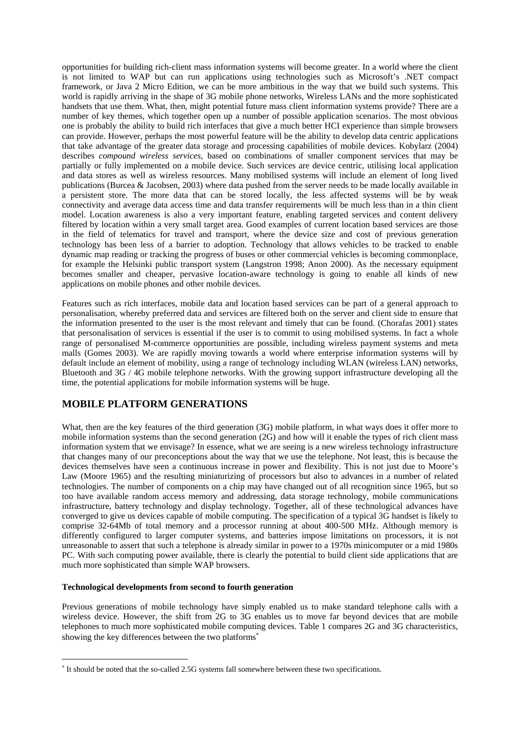opportunities for building rich-client mass information systems will become greater. In a world where the client is not limited to WAP but can run applications using technologies such as Microsoft's .NET compact framework, or Java 2 Micro Edition, we can be more ambitious in the way that we build such systems. This world is rapidly arriving in the shape of 3G mobile phone networks, Wireless LANs and the more sophisticated handsets that use them. What, then, might potential future mass client information systems provide? There are a number of key themes, which together open up a number of possible application scenarios. The most obvious one is probably the ability to build rich interfaces that give a much better HCI experience than simple browsers can provide. However, perhaps the most powerful feature will be the ability to develop data centric applications that take advantage of the greater data storage and processing capabilities of mobile devices. Kobylarz (2004) describes *compound wireless services*, based on combinations of smaller component services that may be partially or fully implemented on a mobile device. Such services are device centric, utilising local application and data stores as well as wireless resources. Many mobilised systems will include an element of long lived publications (Burcea & Jacobsen, 2003) where data pushed from the server needs to be made locally available in a persistent store. The more data that can be stored locally, the less affected systems will be by weak connectivity and average data access time and data transfer requirements will be much less than in a thin client model. Location awareness is also a very important feature, enabling targeted services and content delivery filtered by location within a very small target area. Good examples of current location based services are those in the field of telematics for travel and transport, where the device size and cost of previous generation technology has been less of a barrier to adoption. Technology that allows vehicles to be tracked to enable dynamic map reading or tracking the progress of buses or other commercial vehicles is becoming commonplace, for example the Helsinki public transport system (Langstron 1998; Anon 2000). As the necessary equipment becomes smaller and cheaper, pervasive location-aware technology is going to enable all kinds of new applications on mobile phones and other mobile devices.

Features such as rich interfaces, mobile data and location based services can be part of a general approach to personalisation, whereby preferred data and services are filtered both on the server and client side to ensure that the information presented to the user is the most relevant and timely that can be found. (Chorafas 2001) states that personalisation of services is essential if the user is to commit to using mobilised systems. In fact a whole range of personalised M-commerce opportunities are possible, including wireless payment systems and meta malls (Gomes 2003). We are rapidly moving towards a world where enterprise information systems will by default include an element of mobility, using a range of technology including WLAN (wireless LAN) networks, Bluetooth and 3G / 4G mobile telephone networks. With the growing support infrastructure developing all the time, the potential applications for mobile information systems will be huge.

## **MOBILE PLATFORM GENERATIONS**

What, then are the key features of the third generation (3G) mobile platform, in what ways does it offer more to mobile information systems than the second generation (2G) and how will it enable the types of rich client mass information system that we envisage? In essence, what we are seeing is a new wireless technology infrastructure that changes many of our preconceptions about the way that we use the telephone. Not least, this is because the devices themselves have seen a continuous increase in power and flexibility. This is not just due to Moore's Law (Moore 1965) and the resulting miniaturizing of processors but also to advances in a number of related technologies. The number of components on a chip may have changed out of all recognition since 1965, but so too have available random access memory and addressing, data storage technology, mobile communications infrastructure, battery technology and display technology. Together, all of these technological advances have converged to give us devices capable of mobile computing. The specification of a typical 3G handset is likely to comprise 32-64Mb of total memory and a processor running at about 400-500 MHz. Although memory is differently configured to larger computer systems, and batteries impose limitations on processors, it is not unreasonable to assert that such a telephone is already similar in power to a 1970s minicomputer or a mid 1980s PC. With such computing power available, there is clearly the potential to build client side applications that are much more sophisticated than simple WAP browsers.

#### **Technological developments from second to fourth generation**

 $\overline{a}$ 

Previous generations of mobile technology have simply enabled us to make standard telephone calls with a wireless device. However, the shift from 2G to 3G enables us to move far beyond devices that are mobile telephones to much more sophisticated mobile computing devices. Table 1 compares 2G and 3G characteristics, showing the key differences between the two platforms<sup>∗</sup>

<sup>∗</sup> It should be noted that the so-called 2.5G systems fall somewhere between these two specifications.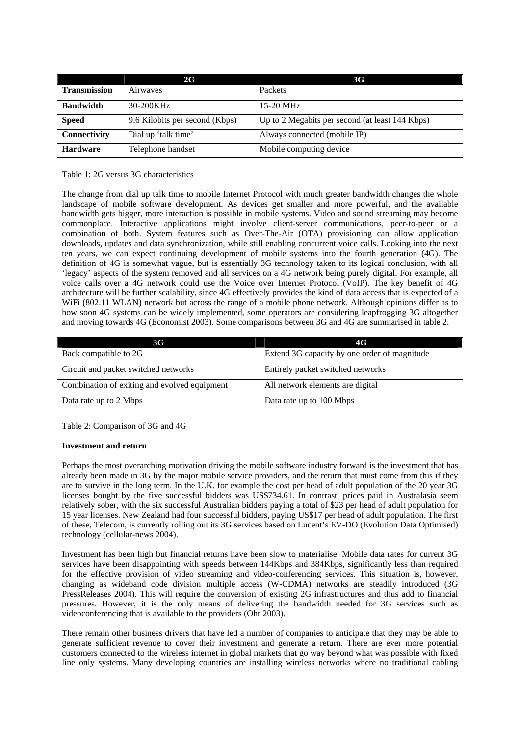|                     | 2G                             | <b>3G</b>                                       |
|---------------------|--------------------------------|-------------------------------------------------|
| <b>Transmission</b> | Airwayes                       | Packets                                         |
| <b>Bandwidth</b>    | 30-200KHz                      | $15-20$ MHz                                     |
| <b>Speed</b>        | 9.6 Kilobits per second (Kbps) | Up to 2 Megabits per second (at least 144 Kbps) |
| Connectivity        | Dial up 'talk time'            | Always connected (mobile IP)                    |
| <b>Hardware</b>     | Telephone handset              | Mobile computing device                         |

Table 1: 2G versus 3G characteristics

The change from dial up talk time to mobile Internet Protocol with much greater bandwidth changes the whole landscape of mobile software development. As devices get smaller and more powerful, and the available bandwidth gets bigger, more interaction is possible in mobile systems. Video and sound streaming may become commonplace. Interactive applications might involve client-server communications, peer-to-peer or a combination of both. System features such as Over-The-Air (OTA) provisioning can allow application downloads, updates and data synchronization, while still enabling concurrent voice calls. Looking into the next ten years, we can expect continuing development of mobile systems into the fourth generation (4G). The definition of 4G is somewhat vague, but is essentially 3G technology taken to its logical conclusion, with all 'legacy' aspects of the system removed and all services on a 4G network being purely digital. For example, all voice calls over a 4G network could use the Voice over Internet Protocol (VoIP). The key benefit of 4G architecture will be further scalability, since 4G effectively provides the kind of data access that is expected of a WiFi (802.11 WLAN) network but across the range of a mobile phone network. Although opinions differ as to how soon 4G systems can be widely implemented, some operators are considering leapfrogging 3G altogether and moving towards 4G (Economist 2003). Some comparisons between 3G and 4G are summarised in table 2.

| 3G                                           | 4G                                           |
|----------------------------------------------|----------------------------------------------|
| Back compatible to 2G                        | Extend 3G capacity by one order of magnitude |
| Circuit and packet switched networks         | Entirely packet switched networks            |
| Combination of exiting and evolved equipment | All network elements are digital             |
| Data rate up to 2 Mbps                       | Data rate up to 100 Mbps                     |

Table 2: Comparison of 3G and 4G

## **Investment and return**

Perhaps the most overarching motivation driving the mobile software industry forward is the investment that has already been made in 3G by the major mobile service providers, and the return that must come from this if they are to survive in the long term. In the U.K. for example the cost per head of adult population of the 20 year 3G licenses bought by the five successful bidders was US\$734.61. In contrast, prices paid in Australasia seem relatively sober, with the six successful Australian bidders paying a total of \$23 per head of adult population for 15 year licenses. New Zealand had four successful bidders, paying US\$17 per head of adult population. The first of these, Telecom, is currently rolling out its 3G services based on Lucent's EV-DO (Evolution Data Optimised) technology (cellular-news 2004).

Investment has been high but financial returns have been slow to materialise. Mobile data rates for current 3G services have been disappointing with speeds between 144Kbps and 384Kbps, significantly less than required for the effective provision of video streaming and video-conferencing services. This situation is, however, changing as wideband code division multiple access (W-CDMA) networks are steadily introduced (3G PressReleases 2004). This will require the conversion of existing 2G infrastructures and thus add to financial pressures. However, it is the only means of delivering the bandwidth needed for 3G services such as videoconferencing that is available to the providers (Ohr 2003).

There remain other business drivers that have led a number of companies to anticipate that they may be able to generate sufficient revenue to cover their investment and generate a return. There are ever more potential customers connected to the wireless internet in global markets that go way beyond what was possible with fixed line only systems. Many developing countries are installing wireless networks where no traditional cabling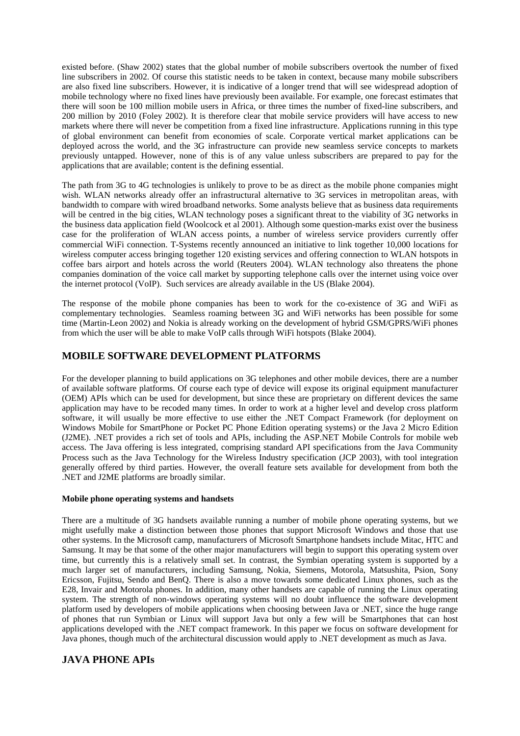existed before. (Shaw 2002) states that the global number of mobile subscribers overtook the number of fixed line subscribers in 2002. Of course this statistic needs to be taken in context, because many mobile subscribers are also fixed line subscribers. However, it is indicative of a longer trend that will see widespread adoption of mobile technology where no fixed lines have previously been available. For example, one forecast estimates that there will soon be 100 million mobile users in Africa, or three times the number of fixed-line subscribers, and 200 million by 2010 (Foley 2002). It is therefore clear that mobile service providers will have access to new markets where there will never be competition from a fixed line infrastructure. Applications running in this type of global environment can benefit from economies of scale. Corporate vertical market applications can be deployed across the world, and the 3G infrastructure can provide new seamless service concepts to markets previously untapped. However, none of this is of any value unless subscribers are prepared to pay for the applications that are available; content is the defining essential.

The path from 3G to 4G technologies is unlikely to prove to be as direct as the mobile phone companies might wish. WLAN networks already offer an infrastructural alternative to 3G services in metropolitan areas, with bandwidth to compare with wired broadband networks. Some analysts believe that as business data requirements will be centred in the big cities, WLAN technology poses a significant threat to the viability of 3G networks in the business data application field (Woolcock et al 2001). Although some question-marks exist over the business case for the proliferation of WLAN access points, a number of wireless service providers currently offer commercial WiFi connection. T-Systems recently announced an initiative to link together 10,000 locations for wireless computer access bringing together 120 existing services and offering connection to WLAN hotspots in coffee bars airport and hotels across the world (Reuters 2004). WLAN technology also threatens the phone companies domination of the voice call market by supporting telephone calls over the internet using voice over the internet protocol (VoIP). Such services are already available in the US (Blake 2004).

The response of the mobile phone companies has been to work for the co-existence of 3G and WiFi as complementary technologies. Seamless roaming between 3G and WiFi networks has been possible for some time (Martin-Leon 2002) and Nokia is already working on the development of hybrid GSM/GPRS/WiFi phones from which the user will be able to make VoIP calls through WiFi hotspots (Blake 2004).

## **MOBILE SOFTWARE DEVELOPMENT PLATFORMS**

For the developer planning to build applications on 3G telephones and other mobile devices, there are a number of available software platforms. Of course each type of device will expose its original equipment manufacturer (OEM) APIs which can be used for development, but since these are proprietary on different devices the same application may have to be recoded many times. In order to work at a higher level and develop cross platform software, it will usually be more effective to use either the .NET Compact Framework (for deployment on Windows Mobile for SmartPhone or Pocket PC Phone Edition operating systems) or the Java 2 Micro Edition (J2ME). .NET provides a rich set of tools and APIs, including the ASP.NET Mobile Controls for mobile web access. The Java offering is less integrated, comprising standard API specifications from the Java Community Process such as the Java Technology for the Wireless Industry specification (JCP 2003), with tool integration generally offered by third parties. However, the overall feature sets available for development from both the .NET and J2ME platforms are broadly similar.

#### **Mobile phone operating systems and handsets**

There are a multitude of 3G handsets available running a number of mobile phone operating systems, but we might usefully make a distinction between those phones that support Microsoft Windows and those that use other systems. In the Microsoft camp, manufacturers of Microsoft Smartphone handsets include Mitac, HTC and Samsung. It may be that some of the other major manufacturers will begin to support this operating system over time, but currently this is a relatively small set. In contrast, the Symbian operating system is supported by a much larger set of manufacturers, including Samsung, Nokia, Siemens, Motorola, Matsushita, Psion, Sony Ericsson, Fujitsu, Sendo and BenQ. There is also a move towards some dedicated Linux phones, such as the E28, Invair and Motorola phones. In addition, many other handsets are capable of running the Linux operating system. The strength of non-windows operating systems will no doubt influence the software development platform used by developers of mobile applications when choosing between Java or .NET, since the huge range of phones that run Symbian or Linux will support Java but only a few will be Smartphones that can host applications developed with the .NET compact framework. In this paper we focus on software development for Java phones, though much of the architectural discussion would apply to .NET development as much as Java.

## **JAVA PHONE APIs**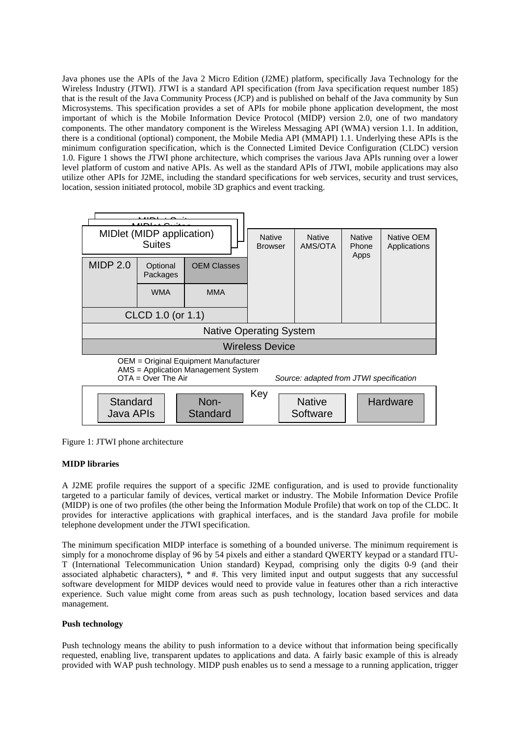Java phones use the APIs of the Java 2 Micro Edition (J2ME) platform, specifically Java Technology for the Wireless Industry (JTWI). JTWI is a standard API specification (from Java specification request number 185) that is the result of the Java Community Process (JCP) and is published on behalf of the Java community by Sun Microsystems. This specification provides a set of APIs for mobile phone application development, the most important of which is the Mobile Information Device Protocol (MIDP) version 2.0, one of two mandatory components. The other mandatory component is the Wireless Messaging API (WMA) version 1.1. In addition, there is a conditional (optional) component, the Mobile Media API (MMAPI) 1.1. Underlying these APIs is the minimum configuration specification, which is the Connected Limited Device Configuration (CLDC) version 1.0. Figure 1 shows the JTWI phone architecture, which comprises the various Java APIs running over a lower level platform of custom and native APIs. As well as the standard APIs of JTWI, mobile applications may also utilize other APIs for J2ME, including the standard specifications for web services, security and trust services, location, session initiated protocol, mobile 3D graphics and event tracking.



Figure 1: JTWI phone architecture

## **MIDP libraries**

A J2ME profile requires the support of a specific J2ME configuration, and is used to provide functionality targeted to a particular family of devices, vertical market or industry. The Mobile Information Device Profile (MIDP) is one of two profiles (the other being the Information Module Profile) that work on top of the CLDC. It provides for interactive applications with graphical interfaces, and is the standard Java profile for mobile telephone development under the JTWI specification.

The minimum specification MIDP interface is something of a bounded universe. The minimum requirement is simply for a monochrome display of 96 by 54 pixels and either a standard QWERTY keypad or a standard ITU-T (International Telecommunication Union standard) Keypad, comprising only the digits 0-9 (and their associated alphabetic characters), \* and #. This very limited input and output suggests that any successful software development for MIDP devices would need to provide value in features other than a rich interactive experience. Such value might come from areas such as push technology, location based services and data management.

## **Push technology**

Push technology means the ability to push information to a device without that information being specifically requested, enabling live, transparent updates to applications and data. A fairly basic example of this is already provided with WAP push technology. MIDP push enables us to send a message to a running application, trigger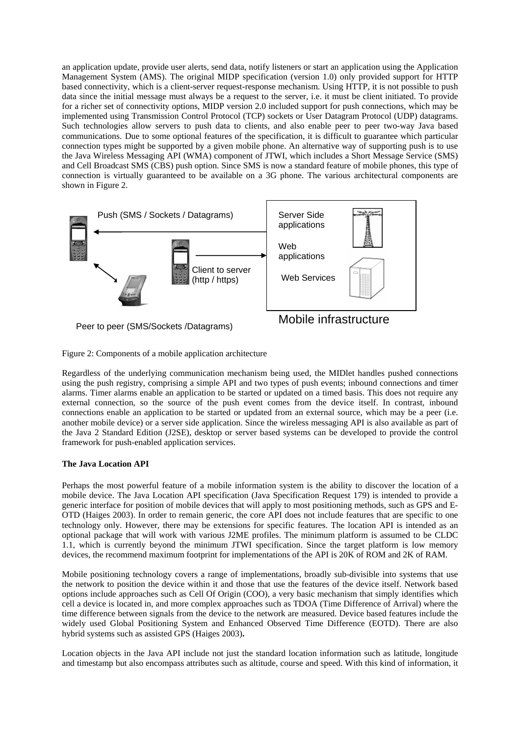an application update, provide user alerts, send data, notify listeners or start an application using the Application Management System (AMS). The original MIDP specification (version 1.0) only provided support for HTTP based connectivity, which is a client-server request-response mechanism. Using HTTP, it is not possible to push data since the initial message must always be a request to the server, i.e. it must be client initiated. To provide for a richer set of connectivity options, MIDP version 2.0 included support for push connections, which may be implemented using Transmission Control Protocol (TCP) sockets or User Datagram Protocol (UDP) datagrams. Such technologies allow servers to push data to clients, and also enable peer to peer two-way Java based communications. Due to some optional features of the specification, it is difficult to guarantee which particular connection types might be supported by a given mobile phone. An alternative way of supporting push is to use the Java Wireless Messaging API (WMA) component of JTWI, which includes a Short Message Service (SMS) and Cell Broadcast SMS (CBS) push option. Since SMS is now a standard feature of mobile phones, this type of connection is virtually guaranteed to be available on a 3G phone. The various architectural components are shown in Figure 2.



Figure 2: Components of a mobile application architecture

Regardless of the underlying communication mechanism being used, the MIDlet handles pushed connections using the push registry, comprising a simple API and two types of push events; inbound connections and timer alarms. Timer alarms enable an application to be started or updated on a timed basis. This does not require any external connection, so the source of the push event comes from the device itself. In contrast, inbound connections enable an application to be started or updated from an external source, which may be a peer (i.e. another mobile device) or a server side application. Since the wireless messaging API is also available as part of the Java 2 Standard Edition (J2SE), desktop or server based systems can be developed to provide the control framework for push-enabled application services.

## **The Java Location API**

Perhaps the most powerful feature of a mobile information system is the ability to discover the location of a mobile device. The Java Location API specification (Java Specification Request 179) is intended to provide a generic interface for position of mobile devices that will apply to most positioning methods, such as GPS and E-OTD (Haiges 2003). In order to remain generic, the core API does not include features that are specific to one technology only. However, there may be extensions for specific features. The location API is intended as an optional package that will work with various J2ME profiles. The minimum platform is assumed to be CLDC 1.1, which is currently beyond the minimum JTWI specification. Since the target platform is low memory devices, the recommend maximum footprint for implementations of the API is 20K of ROM and 2K of RAM.

Mobile positioning technology covers a range of implementations, broadly sub-divisible into systems that use the network to position the device within it and those that use the features of the device itself. Network based options include approaches such as Cell Of Origin (COO), a very basic mechanism that simply identifies which cell a device is located in, and more complex approaches such as TDOA (Time Difference of Arrival) where the time difference between signals from the device to the network are measured. Device based features include the widely used Global Positioning System and Enhanced Observed Time Difference (EOTD). There are also hybrid systems such as assisted GPS (Haiges 2003)**.** 

Location objects in the Java API include not just the standard location information such as latitude, longitude and timestamp but also encompass attributes such as altitude, course and speed. With this kind of information, it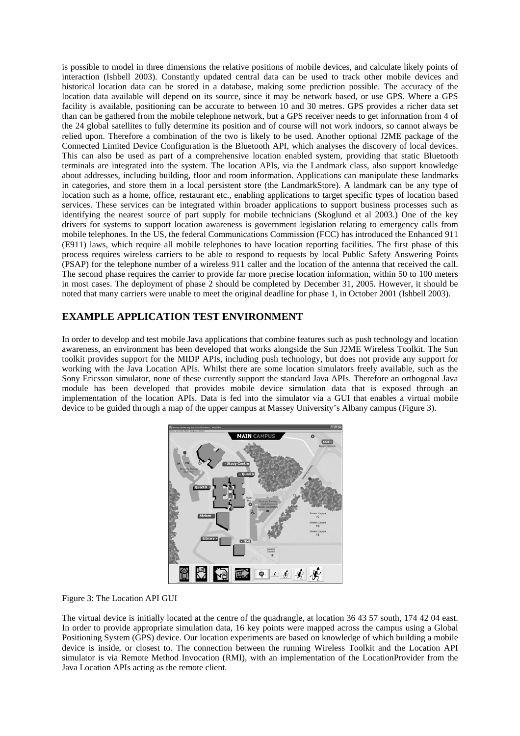is possible to model in three dimensions the relative positions of mobile devices, and calculate likely points of interaction (Ishbell 2003). Constantly updated central data can be used to track other mobile devices and historical location data can be stored in a database, making some prediction possible. The accuracy of the location data available will depend on its source, since it may be network based, or use GPS. Where a GPS facility is available, positioning can be accurate to between 10 and 30 metres. GPS provides a richer data set than can be gathered from the mobile telephone network, but a GPS receiver needs to get information from 4 of the 24 global satellites to fully determine its position and of course will not work indoors, so cannot always be relied upon. Therefore a combination of the two is likely to be used. Another optional J2ME package of the Connected Limited Device Configuration is the Bluetooth API, which analyses the discovery of local devices. This can also be used as part of a comprehensive location enabled system, providing that static Bluetooth terminals are integrated into the system. The location APIs, via the Landmark class, also support knowledge about addresses, including building, floor and room information. Applications can manipulate these landmarks in categories, and store them in a local persistent store (the LandmarkStore). A landmark can be any type of location such as a home, office, restaurant etc., enabling applications to target specific types of location based services. These services can be integrated within broader applications to support business processes such as identifying the nearest source of part supply for mobile technicians (Skoglund et al 2003.) One of the key drivers for systems to support location awareness is government legislation relating to emergency calls from mobile telephones. In the US, the federal Communications Commission (FCC) has introduced the Enhanced 911 (E911) laws, which require all mobile telephones to have location reporting facilities. The first phase of this process requires wireless carriers to be able to respond to requests by local Public Safety Answering Points (PSAP) for the telephone number of a wireless 911 caller and the location of the antenna that received the call. The second phase requires the carrier to provide far more precise location information, within 50 to 100 meters in most cases. The deployment of phase 2 should be completed by December 31, 2005. However, it should be noted that many carriers were unable to meet the original deadline for phase 1, in October 2001 (Ishbell 2003).

## **EXAMPLE APPLICATION TEST ENVIRONMENT**

In order to develop and test mobile Java applications that combine features such as push technology and location awareness, an environment has been developed that works alongside the Sun J2ME Wireless Toolkit. The Sun toolkit provides support for the MIDP APIs, including push technology, but does not provide any support for working with the Java Location APIs. Whilst there are some location simulators freely available, such as the Sony Ericsson simulator, none of these currently support the standard Java APIs. Therefore an orthogonal Java module has been developed that provides mobile device simulation data that is exposed through an implementation of the location APIs. Data is fed into the simulator via a GUI that enables a virtual mobile device to be guided through a map of the upper campus at Massey University's Albany campus (Figure 3).



Figure 3: The Location API GUI

The virtual device is initially located at the centre of the quadrangle, at location 36 43 57 south, 174 42 04 east. In order to provide appropriate simulation data, 16 key points were mapped across the campus using a Global Positioning System (GPS) device. Our location experiments are based on knowledge of which building a mobile device is inside, or closest to. The connection between the running Wireless Toolkit and the Location API simulator is via Remote Method Invocation (RMI), with an implementation of the LocationProvider from the Java Location APIs acting as the remote client.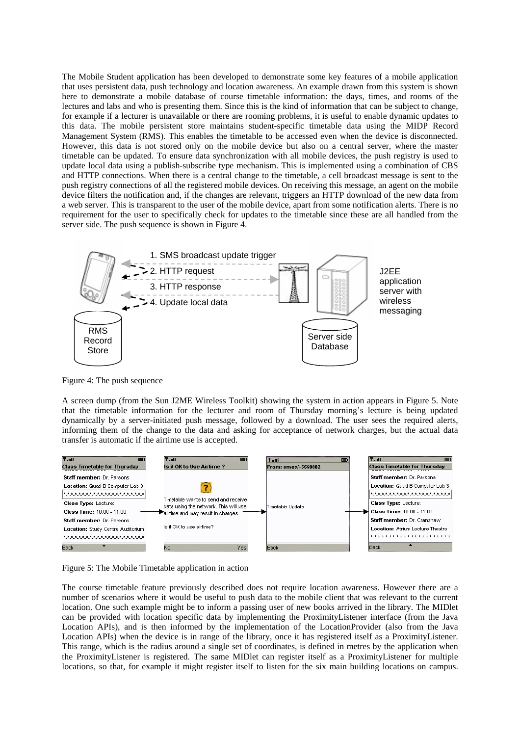The Mobile Student application has been developed to demonstrate some key features of a mobile application that uses persistent data, push technology and location awareness. An example drawn from this system is shown here to demonstrate a mobile database of course timetable information: the days, times, and rooms of the lectures and labs and who is presenting them. Since this is the kind of information that can be subject to change, for example if a lecturer is unavailable or there are rooming problems, it is useful to enable dynamic updates to this data. The mobile persistent store maintains student-specific timetable data using the MIDP Record Management System (RMS). This enables the timetable to be accessed even when the device is disconnected. However, this data is not stored only on the mobile device but also on a central server, where the master timetable can be updated. To ensure data synchronization with all mobile devices, the push registry is used to update local data using a publish-subscribe type mechanism. This is implemented using a combination of CBS and HTTP connections. When there is a central change to the timetable, a cell broadcast message is sent to the push registry connections of all the registered mobile devices. On receiving this message, an agent on the mobile device filters the notification and, if the changes are relevant, triggers an HTTP download of the new data from a web server. This is transparent to the user of the mobile device, apart from some notification alerts. There is no requirement for the user to specifically check for updates to the timetable since these are all handled from the server side. The push sequence is shown in Figure 4.



Figure 4: The push sequence

A screen dump (from the Sun J2ME Wireless Toolkit) showing the system in action appears in Figure 5. Note that the timetable information for the lecturer and room of Thursday morning's lecture is being updated dynamically by a server-initiated push message, followed by a download. The user sees the required alerts, informing them of the change to the data and asking for acceptance of network charges, but the actual data transfer is automatic if the airtime use is accepted.





The course timetable feature previously described does not require location awareness. However there are a number of scenarios where it would be useful to push data to the mobile client that was relevant to the current location. One such example might be to inform a passing user of new books arrived in the library. The MIDlet can be provided with location specific data by implementing the ProximityListener interface (from the Java Location APIs), and is then informed by the implementation of the LocationProvider (also from the Java Location APIs) when the device is in range of the library, once it has registered itself as a ProximityListener. This range, which is the radius around a single set of coordinates, is defined in metres by the application when the ProximityListener is registered. The same MIDlet can register itself as a ProximityListener for multiple locations, so that, for example it might register itself to listen for the six main building locations on campus.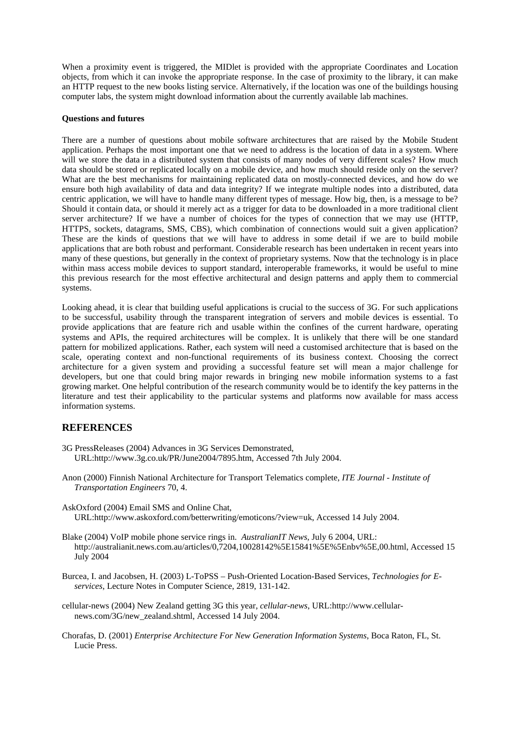When a proximity event is triggered, the MIDlet is provided with the appropriate Coordinates and Location objects, from which it can invoke the appropriate response. In the case of proximity to the library, it can make an HTTP request to the new books listing service. Alternatively, if the location was one of the buildings housing computer labs, the system might download information about the currently available lab machines.

#### **Questions and futures**

There are a number of questions about mobile software architectures that are raised by the Mobile Student application. Perhaps the most important one that we need to address is the location of data in a system. Where will we store the data in a distributed system that consists of many nodes of very different scales? How much data should be stored or replicated locally on a mobile device, and how much should reside only on the server? What are the best mechanisms for maintaining replicated data on mostly-connected devices, and how do we ensure both high availability of data and data integrity? If we integrate multiple nodes into a distributed, data centric application, we will have to handle many different types of message. How big, then, is a message to be? Should it contain data, or should it merely act as a trigger for data to be downloaded in a more traditional client server architecture? If we have a number of choices for the types of connection that we may use (HTTP, HTTPS, sockets, datagrams, SMS, CBS), which combination of connections would suit a given application? These are the kinds of questions that we will have to address in some detail if we are to build mobile applications that are both robust and performant. Considerable research has been undertaken in recent years into many of these questions, but generally in the context of proprietary systems. Now that the technology is in place within mass access mobile devices to support standard, interoperable frameworks, it would be useful to mine this previous research for the most effective architectural and design patterns and apply them to commercial systems.

Looking ahead, it is clear that building useful applications is crucial to the success of 3G. For such applications to be successful, usability through the transparent integration of servers and mobile devices is essential. To provide applications that are feature rich and usable within the confines of the current hardware, operating systems and APIs, the required architectures will be complex. It is unlikely that there will be one standard pattern for mobilized applications. Rather, each system will need a customised architecture that is based on the scale, operating context and non-functional requirements of its business context. Choosing the correct architecture for a given system and providing a successful feature set will mean a major challenge for developers, but one that could bring major rewards in bringing new mobile information systems to a fast growing market. One helpful contribution of the research community would be to identify the key patterns in the literature and test their applicability to the particular systems and platforms now available for mass access information systems.

## **REFERENCES**

- 3G PressReleases (2004) Advances in 3G Services Demonstrated, URL:http://www.3g.co.uk/PR/June2004/7895.htm, Accessed 7th July 2004.
- Anon (2000) Finnish National Architecture for Transport Telematics complete, *ITE Journal Institute of Transportation Engineers* 70, 4.
- AskOxford (2004) Email SMS and Online Chat, URL:http://www.askoxford.com/betterwriting/emoticons/?view=uk, Accessed 14 July 2004.
- Blake (2004) VoIP mobile phone service rings in. *AustralianIT News,* July 6 2004, URL: http://australianit.news.com.au/articles/0,7204,10028142%5E15841%5E%5Enbv%5E,00.html, Accessed 15 July 2004
- Burcea, I. and Jacobsen, H. (2003) L-ToPSS Push-Oriented Location-Based Services, *Technologies for Eservices*, Lecture Notes in Computer Science, 2819, 131-142.
- cellular-news (2004) New Zealand getting 3G this year, *cellular-news*, URL:http://www.cellularnews.com/3G/new\_zealand.shtml, Accessed 14 July 2004.
- Chorafas, D. (2001) *Enterprise Architecture For New Generation Information Systems*, Boca Raton, FL, St. Lucie Press.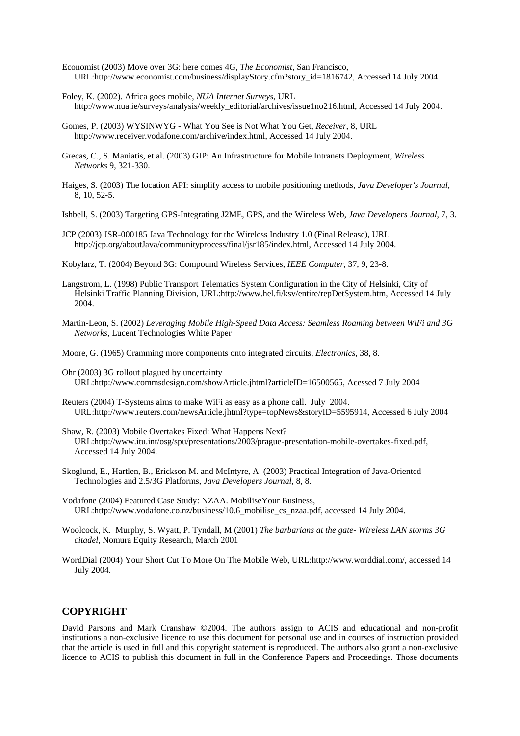- Economist (2003) Move over 3G: here comes 4G, *The Economist*, San Francisco, URL:http://www.economist.com/business/displayStory.cfm?story\_id=1816742, Accessed 14 July 2004.
- Foley, K. (2002). Africa goes mobile, *NUA Internet Surveys*, URL http://www.nua.ie/surveys/analysis/weekly\_editorial/archives/issue1no216.html, Accessed 14 July 2004.
- Gomes, P. (2003) WYSINWYG What You See is Not What You Get, *Receiver*, 8, URL http://www.receiver.vodafone.com/archive/index.html, Accessed 14 July 2004.
- Grecas, C., S. Maniatis, et al. (2003) GIP: An Infrastructure for Mobile Intranets Deployment, *Wireless Networks* 9, 321-330.
- Haiges, S. (2003) The location API: simplify access to mobile positioning methods, *Java Developer's Journal*, 8, 10, 52-5.
- Ishbell, S. (2003) Targeting GPS-Integrating J2ME, GPS, and the Wireless Web, *Java Developers Journal*, 7, 3.
- JCP (2003) JSR-000185 Java Technology for the Wireless Industry 1.0 (Final Release), URL http://jcp.org/aboutJava/communityprocess/final/jsr185/index.html, Accessed 14 July 2004.

Kobylarz, T. (2004) Beyond 3G: Compound Wireless Services, *IEEE Computer*, 37, 9, 23-8.

- Langstrom, L. (1998) Public Transport Telematics System Configuration in the City of Helsinki, City of Helsinki Traffic Planning Division, URL:http://www.hel.fi/ksv/entire/repDetSystem.htm, Accessed 14 July 2004.
- Martin-Leon, S. (2002) *Leveraging Mobile High-Speed Data Access: Seamless Roaming between WiFi and 3G Networks,* Lucent Technologies White Paper

Moore, G. (1965) Cramming more components onto integrated circuits, *Electronics*, 38, 8.

- Ohr (2003) 3G rollout plagued by uncertainty URL:http://www.commsdesign.com/showArticle.jhtml?articleID=16500565, Acessed 7 July 2004
- Reuters (2004) T-Systems aims to make WiFi as easy as a phone call. July 2004. URL:http://www.reuters.com/newsArticle.jhtml?type=topNews&storyID=5595914, Accessed 6 July 2004
- Shaw, R. (2003) Mobile Overtakes Fixed: What Happens Next? URL:http://www.itu.int/osg/spu/presentations/2003/prague-presentation-mobile-overtakes-fixed.pdf, Accessed 14 July 2004.
- Skoglund, E., Hartlen, B., Erickson M. and McIntyre, A. (2003) Practical Integration of Java-Oriented Technologies and 2.5/3G Platforms, *Java Developers Journal*, 8, 8.
- Vodafone (2004) Featured Case Study: NZAA. MobiliseYour Business, URL:http://www.vodafone.co.nz/business/10.6\_mobilise\_cs\_nzaa.pdf, accessed 14 July 2004.
- Woolcock, K. Murphy, S. Wyatt, P. Tyndall, M (2001) *The barbarians at the gate- Wireless LAN storms 3G citadel,* Nomura Equity Research, March 2001
- WordDial (2004) Your Short Cut To More On The Mobile Web, URL:http://www.worddial.com/, accessed 14 July 2004.

## **COPYRIGHT**

David Parsons and Mark Cranshaw ©2004. The authors assign to ACIS and educational and non-profit institutions a non-exclusive licence to use this document for personal use and in courses of instruction provided that the article is used in full and this copyright statement is reproduced. The authors also grant a non-exclusive licence to ACIS to publish this document in full in the Conference Papers and Proceedings. Those documents